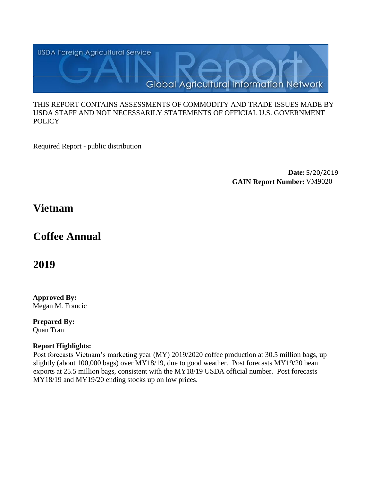

### THIS REPORT CONTAINS ASSESSMENTS OF COMMODITY AND TRADE ISSUES MADE BY USDA STAFF AND NOT NECESSARILY STATEMENTS OF OFFICIAL U.S. GOVERNMENT **POLICY**

Required Report - public distribution

**Date:**5/20/2019 **GAIN Report Number:**VM9020

## **Vietnam**

# **Coffee Annual**

**2019**

### **Approved By:**  Megan M. Francic

**Prepared By:**  Quan Tran

### **Report Highlights:**

Post forecasts Vietnam's marketing year (MY) 2019/2020 coffee production at 30.5 million bags, up slightly (about 100,000 bags) over MY18/19, due to good weather. Post forecasts MY19/20 bean exports at 25.5 million bags, consistent with the MY18/19 USDA official number. Post forecasts MY18/19 and MY19/20 ending stocks up on low prices.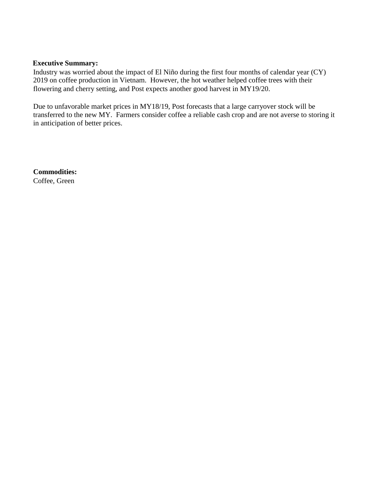### **Executive Summary:**

Industry was worried about the impact of El Niño during the first four months of calendar year (CY) 2019 on coffee production in Vietnam. However, the hot weather helped coffee trees with their flowering and cherry setting, and Post expects another good harvest in MY19/20.

Due to unfavorable market prices in MY18/19, Post forecasts that a large carryover stock will be transferred to the new MY. Farmers consider coffee a reliable cash crop and are not averse to storing it in anticipation of better prices.

**Commodities:** Coffee, Green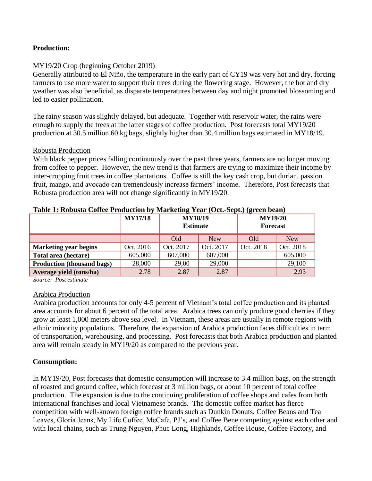### **Production:**

### MY19/20 Crop (beginning October 2019)

Generally attributed to El Niño, the temperature in the early part of CY19 was very hot and dry, forcing farmers to use more water to support their trees during the flowering stage. However, the hot and dry weather was also beneficial, as disparate temperatures between day and night promoted blossoming and led to easier pollination.

The rainy season was slightly delayed, but adequate. Together with reservoir water, the rains were enough to supply the trees at the latter stages of coffee production. Post forecasts total MY19/20 production at 30.5 million 60 kg bags, slightly higher than 30.4 million bags estimated in MY18/19.

### Robusta Production

With black pepper prices falling continuously over the past three years, farmers are no longer moving from coffee to pepper. However, the new trend is that farmers are trying to maximize their income by inter-cropping fruit trees in coffee plantations. Coffee is still the key cash crop, but durian, passion fruit, mango, and avocado can tremendously increase farmers' income. Therefore, Post forecasts that Robusta production area will not change significantly in MY19/20.

|                                   | <b>MY17/18</b> | . .<br><b>MY18/19</b><br><b>Estimate</b> |            | <b>MY19/20</b><br><b>Forecast</b> |            |
|-----------------------------------|----------------|------------------------------------------|------------|-----------------------------------|------------|
|                                   |                | Old                                      | <b>New</b> | Old                               | <b>New</b> |
| <b>Marketing year begins</b>      | Oct. 2016      | Oct. 2017                                | Oct. 2017  | Oct. 2018                         | Oct. 2018  |
| Total area (hectare)              | 605,000        | 607,000                                  | 607,000    |                                   | 605,000    |
| <b>Production (thousand bags)</b> | 28,000         | 29,00                                    | 29,000     |                                   | 29,100     |
| Average yield (tons/ha)           | 2.78           | 2.87                                     | 2.87       |                                   | 2.93       |

#### **Table 1: Robusta Coffee Production by Marketing Year (Oct.-Sept.) (green bean)**

*Source: Post estimate*

### Arabica Production

Arabica production accounts for only 4-5 percent of Vietnam's total coffee production and its planted area accounts for about 6 percent of the total area. Arabica trees can only produce good cherries if they grow at least 1,000 meters above sea level. In Vietnam, these areas are usually in remote regions with ethnic minority populations. Therefore, the expansion of Arabica production faces difficulties in term of transportation, warehousing, and processing. Post forecasts that both Arabica production and planted area will remain steady in MY19/20 as compared to the previous year.

### **Consumption:**

In MY19/20, Post forecasts that domestic consumption will increase to 3.4 million bags, on the strength of roasted and ground coffee, which forecast at 3 million bags, or about 10 percent of total coffee production. The expansion is due to the continuing proliferation of coffee shops and cafes from both international franchises and local Vietnamese brands. The domestic coffee market has fierce competition with well-known foreign coffee brands such as Dunkin Donuts, Coffee Beans and Tea Leaves, Gloria Jeans, My Life Coffee, McCafe, PJ's, and Coffee Bene competing against each other and with local chains, such as Trung Nguyen, Phuc Long, Highlands, Coffee House, Coffee Factory, and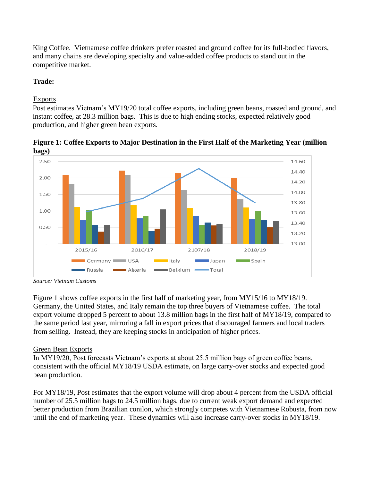King Coffee. Vietnamese coffee drinkers prefer roasted and ground coffee for its full-bodied flavors, and many chains are developing specialty and value-added coffee products to stand out in the competitive market.

### **Trade:**

### Exports

Post estimates Vietnam's MY19/20 total coffee exports, including green beans, roasted and ground, and instant coffee, at 28.3 million bags. This is due to high ending stocks, expected relatively good production, and higher green bean exports.



**Figure 1: Coffee Exports to Major Destination in the First Half of the Marketing Year (million bags)**

Figure 1 shows coffee exports in the first half of marketing year, from MY15/16 to MY18/19. Germany, the United States, and Italy remain the top three buyers of Vietnamese coffee. The total export volume dropped 5 percent to about 13.8 million bags in the first half of MY18/19, compared to the same period last year, mirroring a fall in export prices that discouraged farmers and local traders from selling. Instead, they are keeping stocks in anticipation of higher prices.

### Green Bean Exports

In MY19/20, Post forecasts Vietnam's exports at about 25.5 million bags of green coffee beans, consistent with the official MY18/19 USDA estimate, on large carry-over stocks and expected good bean production.

For MY18/19, Post estimates that the export volume will drop about 4 percent from the USDA official number of 25.5 million bags to 24.5 million bags, due to current weak export demand and expected better production from Brazilian conilon, which strongly competes with Vietnamese Robusta, from now until the end of marketing year. These dynamics will also increase carry-over stocks in MY18/19.

*Source: Vietnam Customs*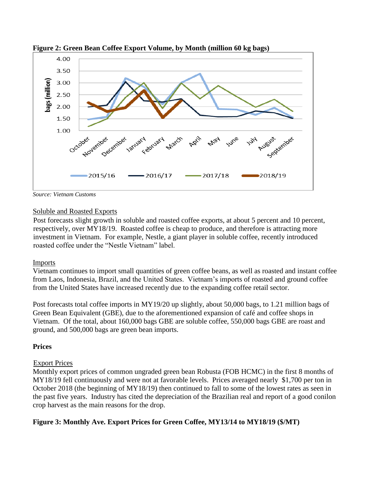

**Figure 2: Green Bean Coffee Export Volume, by Month (million 60 kg bags)**

*Source: Vietnam Customs*

### Soluble and Roasted Exports

Post forecasts slight growth in soluble and roasted coffee exports, at about 5 percent and 10 percent, respectively, over MY18/19. Roasted coffee is cheap to produce, and therefore is attracting more investment in Vietnam. For example, Nestle, a giant player in soluble coffee, recently introduced roasted coffee under the "Nestle Vietnam" label.

### Imports

Vietnam continues to import small quantities of green coffee beans, as well as roasted and instant coffee from Laos, Indonesia, Brazil, and the United States. Vietnam's imports of roasted and ground coffee from the United States have increased recently due to the expanding coffee retail sector.

Post forecasts total coffee imports in MY19/20 up slightly, about 50,000 bags, to 1.21 million bags of Green Bean Equivalent (GBE), due to the aforementioned expansion of café and coffee shops in Vietnam. Of the total, about 160,000 bags GBE are soluble coffee, 550,000 bags GBE are roast and ground, and 500,000 bags are green bean imports.

### **Prices**

### Export Prices

Monthly export prices of common ungraded green bean Robusta (FOB HCMC) in the first 8 months of MY18/19 fell continuously and were not at favorable levels. Prices averaged nearly \$1,700 per ton in October 2018 (the beginning of MY18/19) then continued to fall to some of the lowest rates as seen in the past five years. Industry has cited the depreciation of the Brazilian real and report of a good conilon crop harvest as the main reasons for the drop.

### **Figure 3: Monthly Ave. Export Prices for Green Coffee, MY13/14 to MY18/19 (\$/MT)**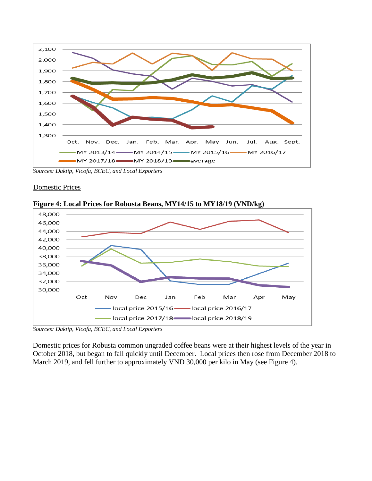

*Sources: Daktip, Vicofa, BCEC, and Local Exporters*

### Domestic Prices



**Figure 4: Local Prices for Robusta Beans, MY14/15 to MY18/19 (VND/kg)**

*Sources: Daktip, Vicofa, BCEC, and Local Exporters*

Domestic prices for Robusta common ungraded coffee beans were at their highest levels of the year in October 2018, but began to fall quickly until December. Local prices then rose from December 2018 to March 2019, and fell further to approximately VND 30,000 per kilo in May (see Figure 4).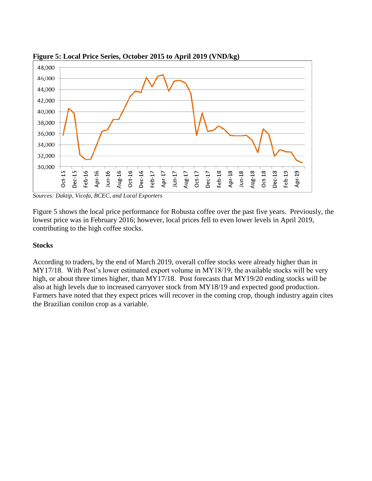

**Figure 5: Local Price Series, October 2015 to April 2019 (VND/kg)**

*Sources: Daktip, Vicofa, BCEC, and Local Exporters*

Figure 5 shows the local price performance for Robusta coffee over the past five years. Previously, the lowest price was in February 2016; however, local prices fell to even lower levels in April 2019, contributing to the high coffee stocks.

### **Stocks**

According to traders, by the end of March 2019, overall coffee stocks were already higher than in MY17/18. With Post's lower estimated export volume in MY18/19, the available stocks will be very high, or about three times higher, than MY17/18. Post forecasts that MY19/20 ending stocks will be also at high levels due to increased carryover stock from MY18/19 and expected good production. Farmers have noted that they expect prices will recover in the coming crop, though industry again cites the Brazilian conilon crop as a variable.